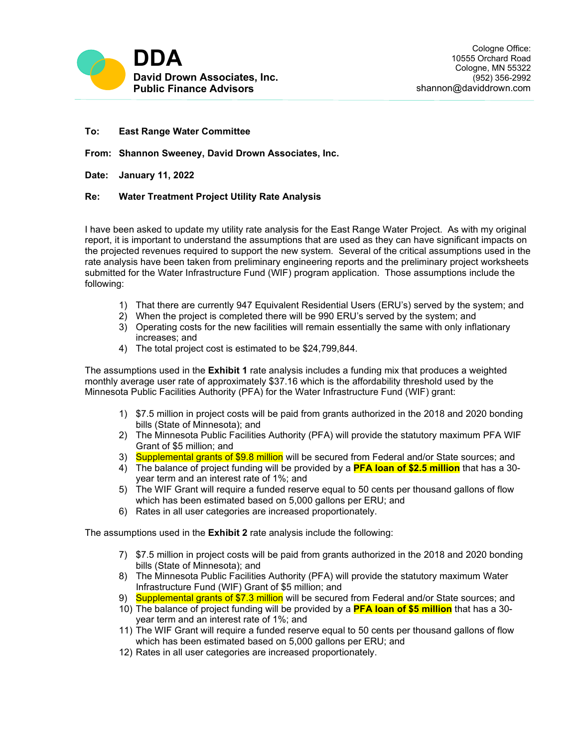

## **To: East Range Water Committee**

**From: Shannon Sweeney, David Drown Associates, Inc.**

**Date: January 11, 2022**

## **Re: Water Treatment Project Utility Rate Analysis**

I have been asked to update my utility rate analysis for the East Range Water Project. As with my original report, it is important to understand the assumptions that are used as they can have significant impacts on the projected revenues required to support the new system. Several of the critical assumptions used in the rate analysis have been taken from preliminary engineering reports and the preliminary project worksheets submitted for the Water Infrastructure Fund (WIF) program application. Those assumptions include the following:

- 1) That there are currently 947 Equivalent Residential Users (ERU's) served by the system; and
- 2) When the project is completed there will be 990 ERU's served by the system; and
- 3) Operating costs for the new facilities will remain essentially the same with only inflationary increases; and
- 4) The total project cost is estimated to be \$24,799,844.

The assumptions used in the **Exhibit 1** rate analysis includes a funding mix that produces a weighted monthly average user rate of approximately \$37.16 which is the affordability threshold used by the Minnesota Public Facilities Authority (PFA) for the Water Infrastructure Fund (WIF) grant:

- 1) \$7.5 million in project costs will be paid from grants authorized in the 2018 and 2020 bonding bills (State of Minnesota); and
- 2) The Minnesota Public Facilities Authority (PFA) will provide the statutory maximum PFA WIF Grant of \$5 million; and
- 3) Supplemental grants of \$9.8 million will be secured from Federal and/or State sources; and
- 4) The balance of project funding will be provided by a **PFA loan of \$2.5 million** that has a 30 year term and an interest rate of 1%; and
- 5) The WIF Grant will require a funded reserve equal to 50 cents per thousand gallons of flow which has been estimated based on 5,000 gallons per ERU; and
- 6) Rates in all user categories are increased proportionately.

The assumptions used in the **Exhibit 2** rate analysis include the following:

- 7) \$7.5 million in project costs will be paid from grants authorized in the 2018 and 2020 bonding bills (State of Minnesota); and
- 8) The Minnesota Public Facilities Authority (PFA) will provide the statutory maximum Water Infrastructure Fund (WIF) Grant of \$5 million; and
- 9) Supplemental grants of \$7.3 million will be secured from Federal and/or State sources; and
- 10) The balance of project funding will be provided by a **PFA loan of \$5 million** that has a 30 year term and an interest rate of 1%; and
- 11) The WIF Grant will require a funded reserve equal to 50 cents per thousand gallons of flow which has been estimated based on 5,000 gallons per ERU; and
- 12) Rates in all user categories are increased proportionately.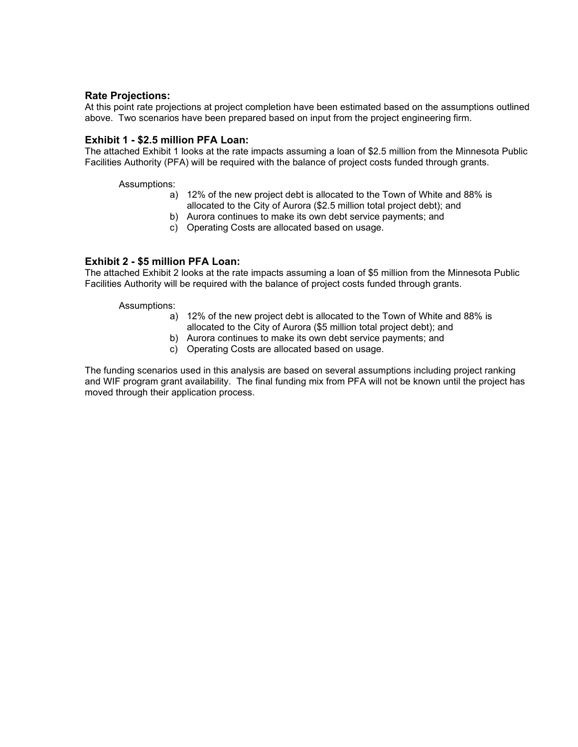## **Rate Projections:**

At this point rate projections at project completion have been estimated based on the assumptions outlined above. Two scenarios have been prepared based on input from the project engineering firm.

## **Exhibit 1 - \$2.5 million PFA Loan:**

The attached Exhibit 1 looks at the rate impacts assuming a loan of \$2.5 million from the Minnesota Public Facilities Authority (PFA) will be required with the balance of project costs funded through grants.

### Assumptions:

- a) 12% of the new project debt is allocated to the Town of White and 88% is allocated to the City of Aurora (\$2.5 million total project debt); and
- b) Aurora continues to make its own debt service payments; and
- c) Operating Costs are allocated based on usage.

## **Exhibit 2 - \$5 million PFA Loan:**

The attached Exhibit 2 looks at the rate impacts assuming a loan of \$5 million from the Minnesota Public Facilities Authority will be required with the balance of project costs funded through grants.

#### Assumptions:

- a) 12% of the new project debt is allocated to the Town of White and 88% is allocated to the City of Aurora (\$5 million total project debt); and
- b) Aurora continues to make its own debt service payments; and
- c) Operating Costs are allocated based on usage.

The funding scenarios used in this analysis are based on several assumptions including project ranking and WIF program grant availability. The final funding mix from PFA will not be known until the project has moved through their application process.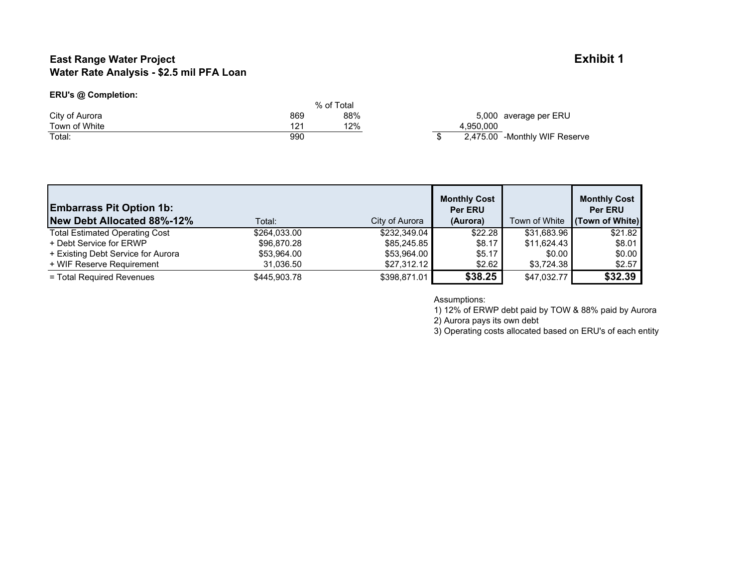# **East Range Water Project Exhibit 1 Water Rate Analysis - \$2.5 mil PFA Loan**

## **ERU's @ Completion:**

| % of Total     |     |     |           |                               |  |  |
|----------------|-----|-----|-----------|-------------------------------|--|--|
| City of Aurora | 869 | 88% |           | 5,000 average per ERU         |  |  |
| Town of White  |     | 2%، | 4.950.000 |                               |  |  |
| Total:         | 990 |     |           | 2,475.00 -Monthly WIF Reserve |  |  |

| <b>Embarrass Pit Option 1b:</b><br>New Debt Allocated 88%-12% | Total:       | City of Aurora | <b>Monthly Cost</b><br><b>Per ERU</b><br>(Aurora) | Town of White | <b>Monthly Cost</b><br><b>Per ERU</b><br>(Town of White) |
|---------------------------------------------------------------|--------------|----------------|---------------------------------------------------|---------------|----------------------------------------------------------|
| <b>Total Estimated Operating Cost</b>                         | \$264,033.00 | \$232,349.04   | \$22.28                                           | \$31.683.96   | \$21.82                                                  |
| + Debt Service for ERWP                                       | \$96,870.28  | \$85,245.85    | \$8.17                                            | \$11.624.43   | \$8.01                                                   |
| + Existing Debt Service for Aurora                            | \$53.964.00  | \$53,964.00    | \$5.17                                            | \$0.00        | \$0.00                                                   |
| + WIF Reserve Requirement                                     | 31.036.50    | \$27,312.12    | \$2.62                                            | \$3,724.38    | \$2.57                                                   |
| = Total Required Revenues                                     | \$445,903.78 | \$398,871.01   | \$38.25                                           | \$47,032.77   | \$32.39                                                  |

Assumptions:

1) 12% of ERWP debt paid by TOW & 88% paid by Aurora

2) Aurora pays its own debt

3) Operating costs allocated based on ERU's of each entity